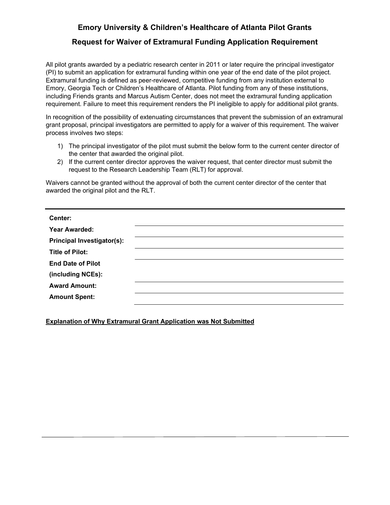## **Emory University & Children's Healthcare of Atlanta Pilot Grants**

## **Request for Waiver of Extramural Funding Application Requirement**

All pilot grants awarded by a pediatric research center in 2011 or later require the principal investigator (PI) to submit an application for extramural funding within one year of the end date of the pilot project. Extramural funding is defined as peer-reviewed, competitive funding from any institution external to Emory, Georgia Tech or Children's Healthcare of Atlanta. Pilot funding from any of these institutions, including Friends grants and Marcus Autism Center, does not meet the extramural funding application requirement. Failure to meet this requirement renders the PI ineligible to apply for additional pilot grants.

In recognition of the possibility of extenuating circumstances that prevent the submission of an extramural grant proposal, principal investigators are permitted to apply for a waiver of this requirement. The waiver process involves two steps:

- 1) The principal investigator of the pilot must submit the below form to the current center director of the center that awarded the original pilot.
- 2) If the current center director approves the waiver request, that center director must submit the request to the Research Leadership Team (RLT) for approval.

Waivers cannot be granted without the approval of both the current center director of the center that awarded the original pilot and the RLT.

| Center:                           |
|-----------------------------------|
| <b>Year Awarded:</b>              |
| <b>Principal Investigator(s):</b> |
| <b>Title of Pilot:</b>            |
| <b>End Date of Pilot</b>          |
| (including NCEs):                 |
| <b>Award Amount:</b>              |
| <b>Amount Spent:</b>              |
|                                   |

**Explanation of Why Extramural Grant Application was Not Submitted**